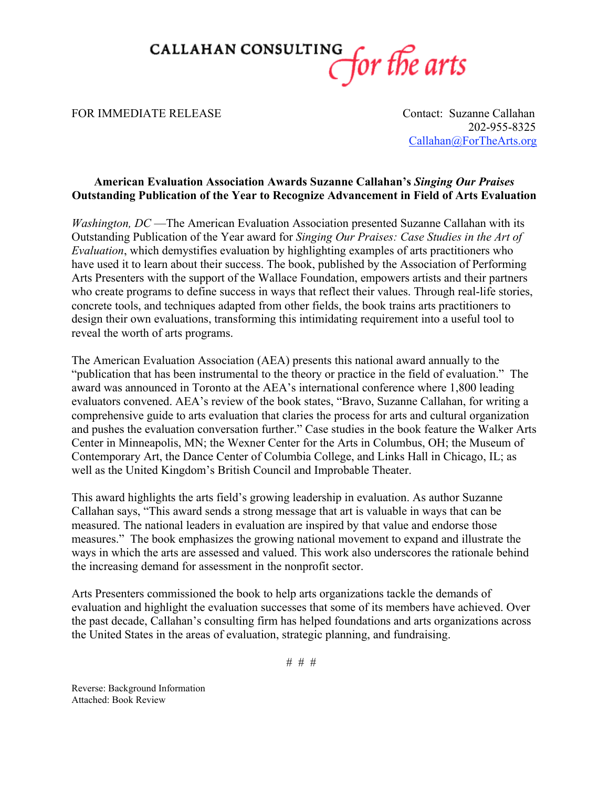

## FOR IMMEDIATE RELEASE Contact: Suzanne Callahan

 202-955-8325 Callahan@ForTheArts.org

## **American Evaluation Association Awards Suzanne Callahan's** *Singing Our Praises* **Outstanding Publication of the Year to Recognize Advancement in Field of Arts Evaluation**

*Washington, DC* —The American Evaluation Association presented Suzanne Callahan with its Outstanding Publication of the Year award for *Singing Our Praises: Case Studies in the Art of Evaluation*, which demystifies evaluation by highlighting examples of arts practitioners who have used it to learn about their success. The book, published by the Association of Performing Arts Presenters with the support of the Wallace Foundation, empowers artists and their partners who create programs to define success in ways that reflect their values. Through real-life stories, concrete tools, and techniques adapted from other fields, the book trains arts practitioners to design their own evaluations, transforming this intimidating requirement into a useful tool to reveal the worth of arts programs.

The American Evaluation Association (AEA) presents this national award annually to the "publication that has been instrumental to the theory or practice in the field of evaluation." The award was announced in Toronto at the AEA's international conference where 1,800 leading evaluators convened. AEA's review of the book states, "Bravo, Suzanne Callahan, for writing a comprehensive guide to arts evaluation that claries the process for arts and cultural organization and pushes the evaluation conversation further." Case studies in the book feature the Walker Arts Center in Minneapolis, MN; the Wexner Center for the Arts in Columbus, OH; the Museum of Contemporary Art, the Dance Center of Columbia College, and Links Hall in Chicago, IL; as well as the United Kingdom's British Council and Improbable Theater.

This award highlights the arts field's growing leadership in evaluation. As author Suzanne Callahan says, "This award sends a strong message that art is valuable in ways that can be measured. The national leaders in evaluation are inspired by that value and endorse those measures." The book emphasizes the growing national movement to expand and illustrate the ways in which the arts are assessed and valued. This work also underscores the rationale behind the increasing demand for assessment in the nonprofit sector.

Arts Presenters commissioned the book to help arts organizations tackle the demands of evaluation and highlight the evaluation successes that some of its members have achieved. Over the past decade, Callahan's consulting firm has helped foundations and arts organizations across the United States in the areas of evaluation, strategic planning, and fundraising.

# # #

Reverse: Background Information Attached: Book Review